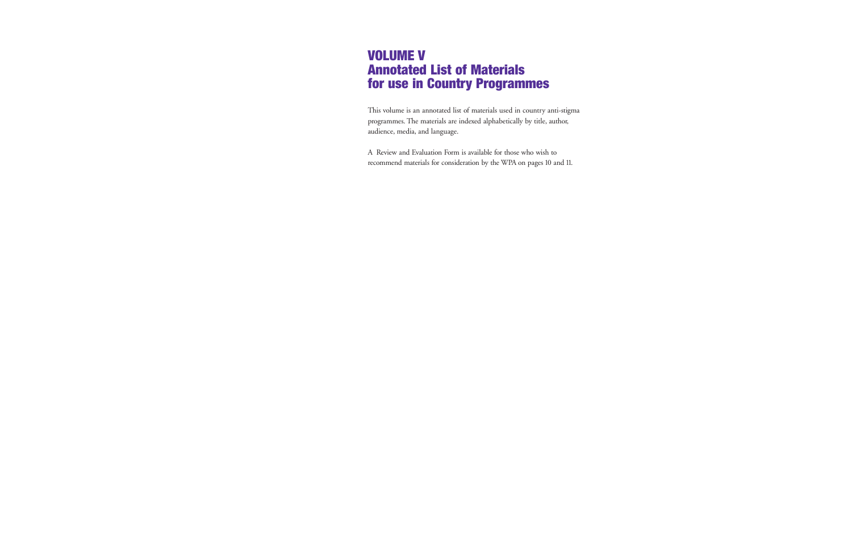## **VOLUME V Annotated List of Materials for use in Country Programmes**

This volume is an annotated list of materials used in country anti-stigma programmes. The materials are indexed alphabetically by title, author, audience, media, and language.

A Review and Evaluation Form is available for those who wish to recommend materials for consideration by the WPA on pages 10 and 11.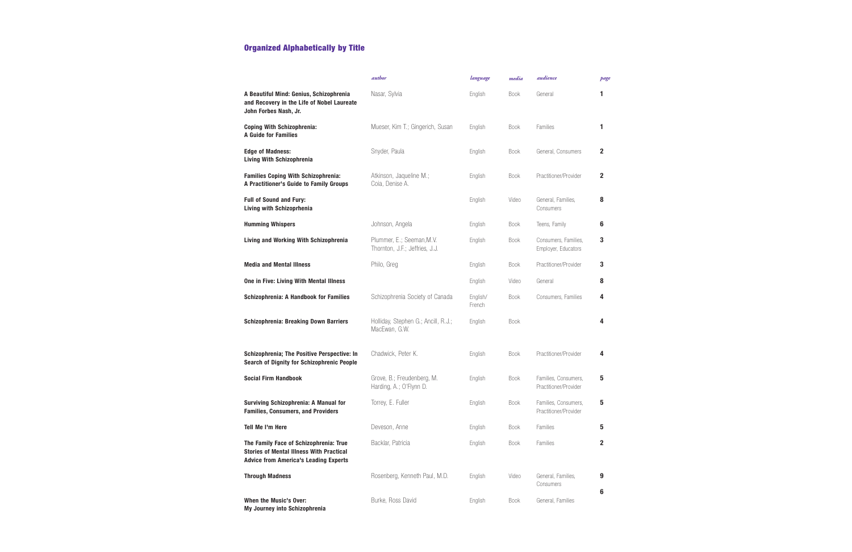|                                                                                                                                           | author                                                      | language           | media       | audience                                      | page         |
|-------------------------------------------------------------------------------------------------------------------------------------------|-------------------------------------------------------------|--------------------|-------------|-----------------------------------------------|--------------|
| A Beautiful Mind: Genius, Schizophrenia<br>and Recovery in the Life of Nobel Laureate<br>John Forbes Nash, Jr.                            | Nasar, Sylvia                                               | English            | <b>Book</b> | General                                       | 1            |
| <b>Coping With Schizophrenia:</b><br><b>A Guide for Families</b>                                                                          | Mueser, Kim T.; Gingerich, Susan                            | English            | <b>Book</b> | Families                                      | 1            |
| <b>Edge of Madness:</b><br><b>Living With Schizophrenia</b>                                                                               | Snyder, Paula                                               | English            | <b>Book</b> | General, Consumers                            | $\mathbf{2}$ |
| <b>Families Coping With Schizophrenia:</b><br>A Practitioner's Guide to Family Groups                                                     | Atkinson, Jaqueline M.;<br>Coia, Denise A.                  | English            | <b>Book</b> | Practitioner/Provider                         | $\mathbf{2}$ |
| <b>Full of Sound and Fury:</b><br>Living with Schizoprhenia                                                                               |                                                             | English            | Video       | General, Families,<br>Consumers               | 8            |
| <b>Humming Whispers</b>                                                                                                                   | Johnson, Angela                                             | English            | <b>Book</b> | Teens, Family                                 | 6            |
| <b>Living and Working With Schizophrenia</b>                                                                                              | Plummer, E.; Seeman, M.V.<br>Thornton, J.F.; Jeffries, J.J. | English            | <b>Book</b> | Consumers, Families,<br>Employer, Educators   | 3            |
| <b>Media and Mental Illness</b>                                                                                                           | Philo, Greg                                                 | English            | <b>Book</b> | Practitioner/Provider                         | 3            |
| One in Five: Living With Mental Illness                                                                                                   |                                                             | English            | Video       | General                                       | 8            |
| <b>Schizophrenia: A Handbook for Families</b>                                                                                             | Schizophrenia Society of Canada                             | English/<br>French | <b>Book</b> | Consumers, Families                           | 4            |
| <b>Schizophrenia: Breaking Down Barriers</b>                                                                                              | Holliday, Stephen G.; Ancill, R.J.;<br>MacEwan, G.W.        | English            | Book        |                                               | 4            |
| Schizophrenia; The Positive Perspective: In<br>Search of Dignity for Schizophrenic People                                                 | Chadwick, Peter K.                                          | English            | <b>Book</b> | Practitioner/Provider                         | 4            |
| <b>Social Firm Handbook</b>                                                                                                               | Grove, B.; Freudenberg, M.<br>Harding, A.; O'Flynn D.       | English            | <b>Book</b> | Families, Consumers,<br>Practitioner/Provider | 5            |
| <b>Surviving Schizophrenia: A Manual for</b><br><b>Families, Consumers, and Providers</b>                                                 | Torrey, E. Fuller                                           | English            | <b>Book</b> | Families, Consumers,<br>Practitioner/Provider | 5            |
| Tell Me I'm Here                                                                                                                          | Deveson, Anne                                               | English            | <b>Book</b> | Families                                      | 5            |
| The Family Face of Schizophrenia: True<br><b>Stories of Mental Illness With Practical</b><br><b>Advice from America's Leading Experts</b> | Backlar, Patricia                                           | English            | <b>Book</b> | Families                                      | 2            |
| <b>Through Madness</b>                                                                                                                    | Rosenberg, Kenneth Paul, M.D.                               | English            | Video       | General, Families,<br>Consumers               | 9<br>6       |
| When the Music's Over:<br>My Journey into Schizophrenia                                                                                   | Burke, Ross David                                           | English            | <b>Book</b> | General, Families                             |              |

## **Organized Alphabetically by Title**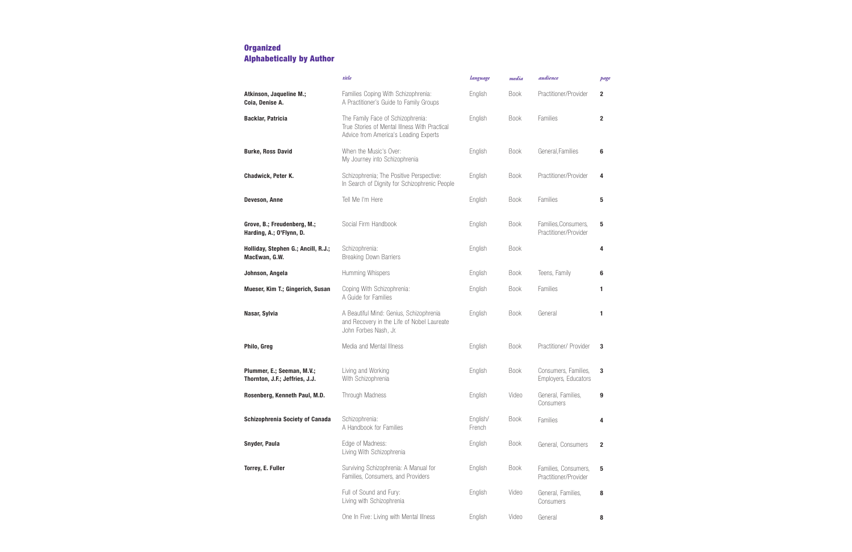|                                                              | title                                                                                                                       | language           | media       | audience                                      | page         |
|--------------------------------------------------------------|-----------------------------------------------------------------------------------------------------------------------------|--------------------|-------------|-----------------------------------------------|--------------|
| Atkinson, Jaqueline M.;<br>Coia, Denise A.                   | Families Coping With Schizophrenia:<br>A Practitioner's Guide to Family Groups                                              | English            | <b>Book</b> | Practitioner/Provider                         | $\mathbf{2}$ |
| <b>Backlar, Patricia</b>                                     | The Family Face of Schizophrenia:<br>True Stories of Mental Illness With Practical<br>Advice from America's Leading Experts | English            | <b>Book</b> | Families                                      | $\mathbf{2}$ |
| <b>Burke, Ross David</b>                                     | When the Music's Over:<br>My Journey into Schizophrenia                                                                     | English            | <b>Book</b> | General, Families                             | 6            |
| Chadwick, Peter K.                                           | Schizophrenia; The Positive Perspective:<br>In Search of Dignity for Schizophrenic People                                   | English            | <b>Book</b> | Practitioner/Provider                         | 4            |
| <b>Deveson, Anne</b>                                         | Tell Me I'm Here                                                                                                            | English            | <b>Book</b> | Families                                      | 5            |
| Grove, B.; Freudenberg, M.;<br>Harding, A.; O'Flynn, D.      | Social Firm Handbook                                                                                                        | English            | <b>Book</b> | Families, Consumers,<br>Practitioner/Provider | 5            |
| Holliday, Stephen G.; Ancill, R.J.;<br>MacEwan, G.W.         | Schizophrenia:<br><b>Breaking Down Barriers</b>                                                                             | English            | <b>Book</b> |                                               | 4            |
| Johnson, Angela                                              | Humming Whispers                                                                                                            | English            | <b>Book</b> | Teens, Family                                 | 6            |
| Mueser, Kim T.; Gingerich, Susan                             | Coping With Schizophrenia:<br>A Guide for Families                                                                          | English            | <b>Book</b> | Families                                      | 1            |
| Nasar, Sylvia                                                | A Beautiful Mind: Genius, Schizophrenia<br>and Recovery in the Life of Nobel Laureate<br>John Forbes Nash, Jr.              | English            | <b>Book</b> | General                                       | 1            |
| Philo, Greg                                                  | Media and Mental Illness                                                                                                    | English            | <b>Book</b> | Practitioner/ Provider                        | 3            |
| Plummer, E.; Seeman, M.V.;<br>Thornton, J.F.; Jeffries, J.J. | Living and Working<br>With Schizophrenia                                                                                    | English            | <b>Book</b> | Consumers, Families,<br>Employers, Educators  | 3            |
| Rosenberg, Kenneth Paul, M.D.                                | Through Madness                                                                                                             | English            | Video       | General, Families,<br>Consumers               | 9            |
| Schizophrenia Society of Canada                              | Schizophrenia:<br>A Handbook for Families                                                                                   | English/<br>French | <b>Book</b> | Families                                      | 4            |
| Snyder, Paula                                                | Edge of Madness:<br>Living With Schizophrenia                                                                               | English            | <b>Book</b> | General, Consumers                            | $\mathbf{2}$ |
| Torrey, E. Fuller                                            | Surviving Schizophrenia: A Manual for<br>Families, Consumers, and Providers                                                 | English            | <b>Book</b> | Families, Consumers,<br>Practitioner/Provider | 5            |
|                                                              | Full of Sound and Fury:<br>Living with Schizophrenia                                                                        | English            | Video       | General, Families,<br>Consumers               | 8            |
|                                                              | One In Five: Living with Mental Illness                                                                                     | English            | Video       | General                                       | 8            |

### **Organized Alphabetically by Author**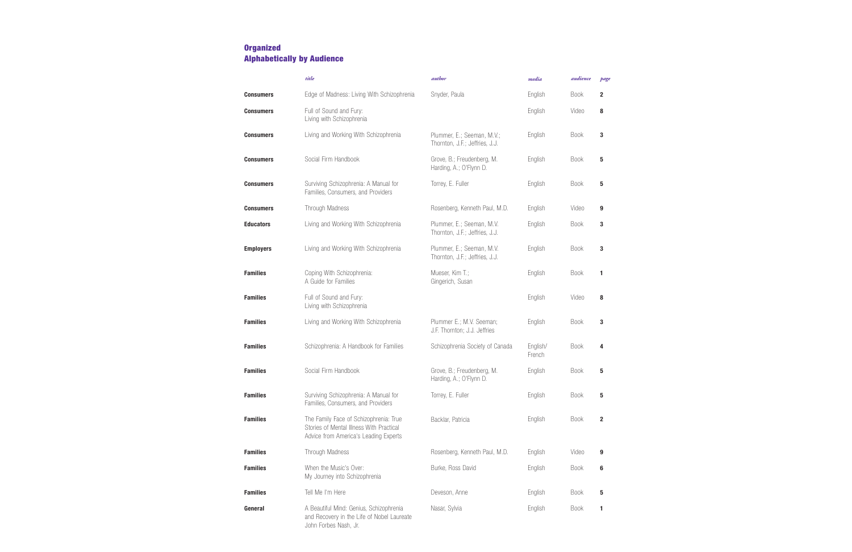|                  | title                                                                                                                       | author                                                       | media              | audience    | page         |
|------------------|-----------------------------------------------------------------------------------------------------------------------------|--------------------------------------------------------------|--------------------|-------------|--------------|
| <b>Consumers</b> | Edge of Madness: Living With Schizophrenia                                                                                  | Snyder, Paula                                                | English            | <b>Book</b> | $\mathbf{2}$ |
| <b>Consumers</b> | Full of Sound and Fury:<br>Living with Schizophrenia                                                                        |                                                              | English            | Video       | 8            |
| <b>Consumers</b> | Living and Working With Schizophrenia                                                                                       | Plummer, E.; Seeman, M.V.;<br>Thornton, J.F.; Jeffries, J.J. | English            | <b>Book</b> | 3            |
| <b>Consumers</b> | Social Firm Handbook                                                                                                        | Grove, B.; Freudenberg, M.<br>Harding, A.; O'Flynn D.        | English            | <b>Book</b> | 5            |
| <b>Consumers</b> | Surviving Schizophrenia: A Manual for<br>Families, Consumers, and Providers                                                 | Torrey, E. Fuller                                            | English            | <b>Book</b> | 5            |
| <b>Consumers</b> | Through Madness                                                                                                             | Rosenberg, Kenneth Paul, M.D.                                | English            | Video       | 9            |
| <b>Educators</b> | Living and Working With Schizophrenia                                                                                       | Plummer, E.; Seeman, M.V.<br>Thornton, J.F.; Jeffries, J.J.  | English            | <b>Book</b> | 3            |
| <b>Employers</b> | Living and Working With Schizophrenia                                                                                       | Plummer, E.; Seeman, M.V.<br>Thornton, J.F.; Jeffries, J.J.  | English            | <b>Book</b> | 3            |
| <b>Families</b>  | Coping With Schizophrenia:<br>A Guide for Families                                                                          | Mueser, Kim T.;<br>Gingerich, Susan                          | English            | <b>Book</b> | 1            |
| <b>Families</b>  | Full of Sound and Fury:<br>Living with Schizophrenia                                                                        |                                                              | English            | Video       | 8            |
| <b>Families</b>  | Living and Working With Schizophrenia                                                                                       | Plummer E.; M.V. Seeman;<br>J.F. Thornton; J.J. Jeffries     | English            | <b>Book</b> | 3            |
| <b>Families</b>  | Schizophrenia: A Handbook for Families                                                                                      | Schizophrenia Society of Canada                              | English/<br>French | <b>Book</b> | 4            |
| <b>Families</b>  | Social Firm Handbook                                                                                                        | Grove, B.; Freudenberg, M.<br>Harding, A.; O'Flynn D.        | English            | <b>Book</b> | 5            |
| <b>Families</b>  | Surviving Schizophrenia: A Manual for<br>Families, Consumers, and Providers                                                 | Torrey, E. Fuller                                            | English            | <b>Book</b> | 5            |
| <b>Families</b>  | The Family Face of Schizophrenia: True<br>Stories of Mental Illness With Practical<br>Advice from America's Leading Experts | Backlar, Patricia                                            | English            | <b>Book</b> | $\mathbf{2}$ |
| <b>Families</b>  | Through Madness                                                                                                             | Rosenberg, Kenneth Paul, M.D.                                | English            | Video       | 9            |
| <b>Families</b>  | When the Music's Over:<br>My Journey into Schizophrenia                                                                     | Burke, Ross David                                            | English            | <b>Book</b> | 6            |
| <b>Families</b>  | Tell Me I'm Here                                                                                                            | Deveson, Anne                                                | English            | Book        | 5            |
| General          | A Beautiful Mind: Genius, Schizophrenia<br>and Recovery in the Life of Nobel Laureate<br>John Forbes Nash, Jr.              | Nasar, Sylvia                                                | English            | <b>Book</b> | 1            |

### **Organized Alphabetically by Audience**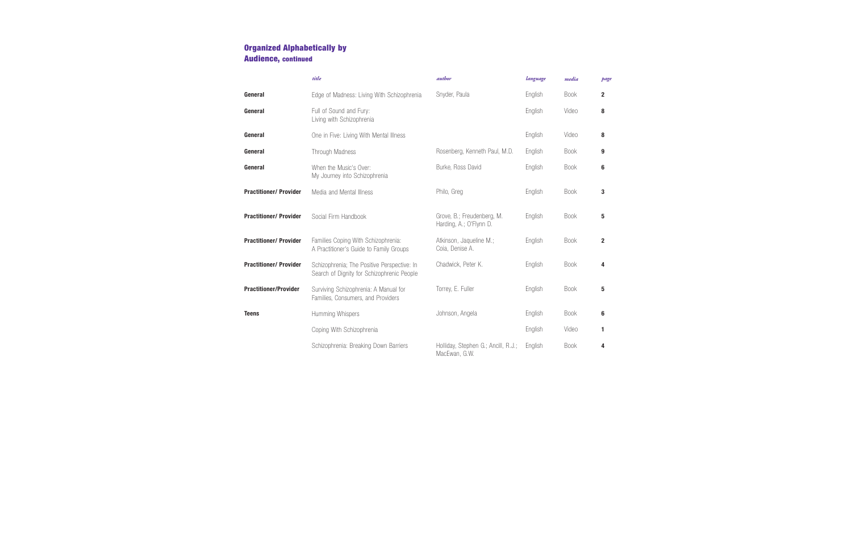|                               | title                                                                                     | <i>author</i>                                         | language | media       | page           |
|-------------------------------|-------------------------------------------------------------------------------------------|-------------------------------------------------------|----------|-------------|----------------|
| General                       | Edge of Madness: Living With Schizophrenia                                                | Snyder, Paula                                         | English  | <b>Book</b> | $\mathbf{2}$   |
| General                       | Full of Sound and Fury:<br>Living with Schizophrenia                                      |                                                       | English  | Video       | 8              |
| General                       | One in Five: Living With Mental Illness                                                   |                                                       | English  | Video       | 8              |
| General                       | Through Madness                                                                           | Rosenberg, Kenneth Paul, M.D.                         | English  | <b>Book</b> | 9              |
| General                       | When the Music's Over:<br>My Journey into Schizophrenia                                   | Burke, Ross David                                     | English  | <b>Book</b> | 6              |
| <b>Practitioner/ Provider</b> | Media and Mental Illness                                                                  | Philo, Greg                                           | English  | <b>Book</b> | 3              |
| <b>Practitioner/ Provider</b> | Social Firm Handbook                                                                      | Grove, B.; Freudenberg, M.<br>Harding, A.; O'Flynn D. | English  | <b>Book</b> | 5              |
| <b>Practitioner/ Provider</b> | Families Coping With Schizophrenia:<br>A Practitioner's Guide to Family Groups            | Atkinson, Jaqueline M.;<br>Coia, Denise A.            | English  | <b>Book</b> | $\overline{2}$ |
| <b>Practitioner/ Provider</b> | Schizophrenia; The Positive Perspective: In<br>Search of Dignity for Schizophrenic People | Chadwick, Peter K.                                    | English  | <b>Book</b> | 4              |
| <b>Practitioner/Provider</b>  | Surviving Schizophrenia: A Manual for<br>Families, Consumers, and Providers               | Torrey, E. Fuller                                     | English  | <b>Book</b> | 5              |
| <b>Teens</b>                  | Humming Whispers                                                                          | Johnson, Angela                                       | English  | <b>Book</b> | 6              |
|                               | Coping With Schizophrenia                                                                 |                                                       | English  | Video       | 1              |
|                               | Schizophrenia: Breaking Down Barriers                                                     | Holliday, Stephen G.; Ancill, R.J.;<br>MacEwan, G.W.  | English  | <b>Book</b> | 4              |

### **Organized Alphabetically by Audience, continued**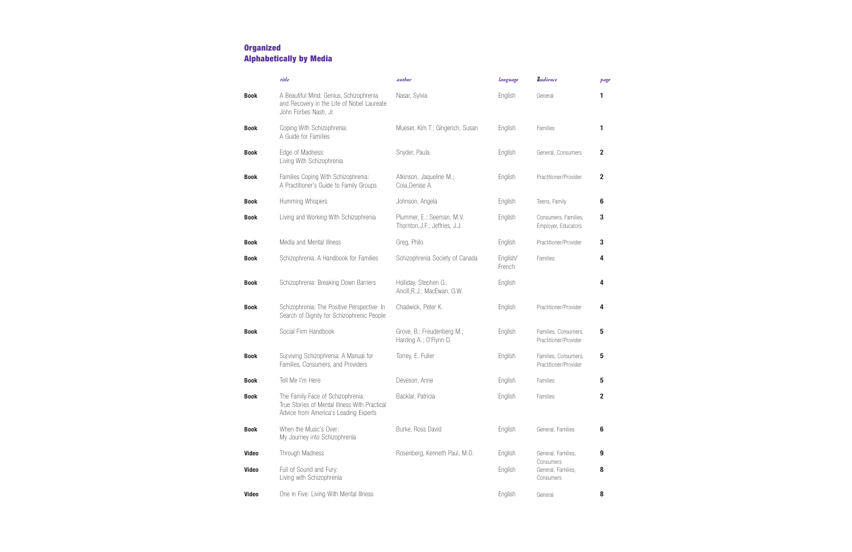|              | title                                                                                                                       | <i>author</i>                                               | language           | <b>Audience</b>                               | page         |
|--------------|-----------------------------------------------------------------------------------------------------------------------------|-------------------------------------------------------------|--------------------|-----------------------------------------------|--------------|
| <b>Book</b>  | A Beautiful Mind: Genius, Schizophrenia<br>and Recovery in the Life of Nobel Laureate<br>John Forbes Nash, Jr.              | Nasar, Sylvia                                               | English            | General                                       | 1            |
| <b>Book</b>  | Coping With Schizophrenia:<br>A Guide for Families                                                                          | Mueser, Kim T.; Gingerich, Susan                            | English            | Families                                      | 1            |
| <b>Book</b>  | Edge of Madness:<br>Living With Schizophrenia                                                                               | Snyder, Paula                                               | English            | General, Consumers                            | 2            |
| <b>Book</b>  | Families Coping With Schizophrenia:<br>A Practitioner's Guide to Family Groups                                              | Atkinson, Jaqueline M.;<br>Coia, Denise A.                  | English            | Practitioner/Provider                         | $\mathbf{2}$ |
| <b>Book</b>  | Humming Whispers                                                                                                            | Johnson, Angela                                             | English            | Teens, Family                                 | 6            |
| <b>Book</b>  | Living and Working With Schizophrenia                                                                                       | Plummer, E.; Seeman, M.V.<br>Thornton, J.F.; Jeffries, J.J. | English            | Consumers, Families,<br>Employer, Educators   | 3            |
| <b>Book</b>  | Media and Mental Illness                                                                                                    | Greg, Philo                                                 | English            | Practitioner/Provider                         | 3            |
| <b>Book</b>  | Schizophrenia: A Handbook for Families                                                                                      | Schizophrenia Society of Canada                             | English/<br>French | Families                                      | 4            |
| <b>Book</b>  | Schizophrenia: Breaking Down Barriers                                                                                       | Holliday, Stephen G.;<br>Ancill, R.J.; MacEwan, G.W.        | English            |                                               | 4            |
| <b>Book</b>  | Schizophrenia; The Positive Perspective: In<br>Search of Dignity for Schizophrenic People                                   | Chadwick, Peter K.                                          | English            | Practitioner/Provider                         | 4            |
| <b>Book</b>  | Social Firm Handbook                                                                                                        | Grove, B.; Freudenberg M.;<br>Harding A.; O'Flynn D.        | English            | Families, Consumers,<br>Practitioner/Provider | 5            |
| <b>Book</b>  | Surviving Schizophrenia: A Manual for<br>Families, Consumers, and Providers                                                 | Torrey, E. Fuller                                           | English            | Families, Consumers,<br>Practitioner/Provider | 5            |
| Book         | Tell Me I'm Here                                                                                                            | Deveson, Anne                                               | English            | Families                                      | 5            |
| <b>Book</b>  | The Family Face of Schizophrenia:<br>True Stories of Mental Illness With Practical<br>Advice from America's Leading Experts | Backlar, Patricia                                           | English            | Families                                      | $\mathbf{2}$ |
| <b>Book</b>  | When the Music's Over:<br>My Journey into Schizophrenia                                                                     | Burke, Ross David                                           | English            | General, Families                             | 6            |
| <b>Video</b> | Through Madness                                                                                                             | Rosenberg, Kenneth Paul, M.D.                               | English            | General, Families,                            | 9            |
| <b>Video</b> | Full of Sound and Fury:<br>Living with Schizophrenia                                                                        |                                                             | English            | Consumers<br>General, Families,<br>Consumers  | 8            |
| <b>Video</b> | One in Five: Living With Mental Illness                                                                                     |                                                             | English            | General                                       | 8            |

### **Organized Alphabetically by Media**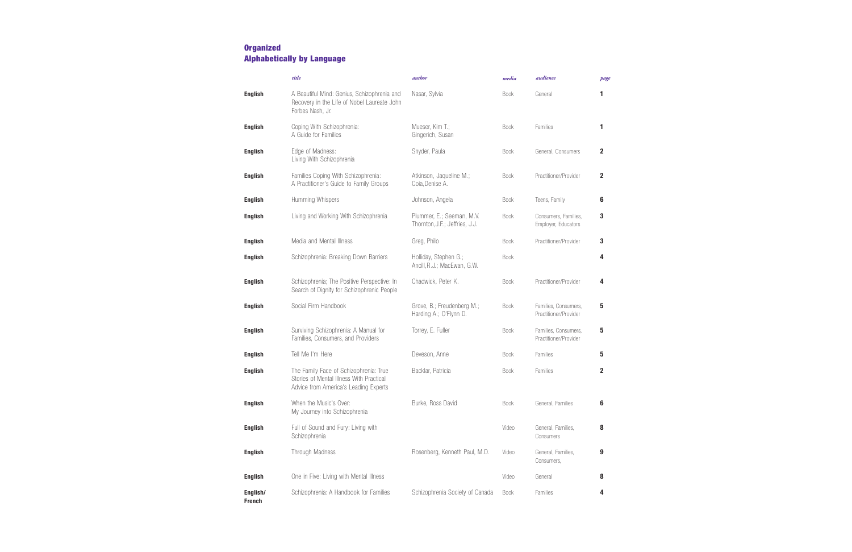|                           | title                                                                                                                       | <i>author</i>                                               | media       | audience                                      | page           |
|---------------------------|-----------------------------------------------------------------------------------------------------------------------------|-------------------------------------------------------------|-------------|-----------------------------------------------|----------------|
| <b>English</b>            | A Beautiful Mind: Genius, Schizophrenia and<br>Recovery in the Life of Nobel Laureate John<br>Forbes Nash, Jr.              | Nasar, Sylvia                                               | <b>Book</b> | General                                       | 1              |
| <b>English</b>            | Coping With Schizophrenia:<br>A Guide for Families                                                                          | Mueser, Kim T.;<br>Gingerich, Susan                         | <b>Book</b> | Families                                      | 1              |
| <b>English</b>            | Edge of Madness:<br>Living With Schizophrenia                                                                               | Snyder, Paula                                               | <b>Book</b> | General, Consumers                            | $\mathbf{2}$   |
| <b>English</b>            | Families Coping With Schizophrenia:<br>A Practitioner's Guide to Family Groups                                              | Atkinson, Jaqueline M.;<br>Coia, Denise A.                  | <b>Book</b> | Practitioner/Provider                         | $\overline{2}$ |
| <b>English</b>            | Humming Whispers                                                                                                            | Johnson, Angela                                             | <b>Book</b> | Teens, Family                                 | 6              |
| <b>English</b>            | Living and Working With Schizophrenia                                                                                       | Plummer, E.; Seeman, M.V.<br>Thornton, J.F.; Jeffries, J.J. | <b>Book</b> | Consumers, Families,<br>Employer, Educators   | 3              |
| <b>English</b>            | Media and Mental Illness                                                                                                    | Greg, Philo                                                 | <b>Book</b> | Practitioner/Provider                         | 3              |
| <b>English</b>            | Schizophrenia: Breaking Down Barriers                                                                                       | Holliday, Stephen G.;<br>Ancill, R.J.; MacEwan, G.W.        | <b>Book</b> |                                               | 4              |
| <b>English</b>            | Schizophrenia; The Positive Perspective: In<br>Search of Dignity for Schizophrenic People                                   | Chadwick, Peter K.                                          | <b>Book</b> | Practitioner/Provider                         | 4              |
| <b>English</b>            | Social Firm Handbook                                                                                                        | Grove, B.; Freudenberg M.;<br>Harding A.; O'Flynn D.        | <b>Book</b> | Families, Consumers,<br>Practitioner/Provider | 5              |
| <b>English</b>            | Surviving Schizophrenia: A Manual for<br>Families, Consumers, and Providers                                                 | Torrey, E. Fuller                                           | <b>Book</b> | Families, Consumers,<br>Practitioner/Provider | 5              |
| <b>English</b>            | Tell Me I'm Here                                                                                                            | Deveson, Anne                                               | <b>Book</b> | Families                                      | 5              |
| <b>English</b>            | The Family Face of Schizophrenia: True<br>Stories of Mental Illness With Practical<br>Advice from America's Leading Experts | Backlar, Patricia                                           | <b>Book</b> | Families                                      | $\mathbf{2}$   |
| <b>English</b>            | When the Music's Over:<br>My Journey into Schizophrenia                                                                     | Burke, Ross David                                           | <b>Book</b> | General, Families                             | 6              |
| <b>English</b>            | Full of Sound and Fury: Living with<br>Schizophrenia                                                                        |                                                             | Video       | General, Families,<br>Consumers               | 8              |
| <b>English</b>            | Through Madness                                                                                                             | Rosenberg, Kenneth Paul, M.D.                               | Video       | General, Families,<br>Consumers,              | 9              |
| <b>English</b>            | One in Five: Living with Mental Illness                                                                                     |                                                             | Video       | General                                       | 8              |
| English/<br><b>French</b> | Schizophrenia: A Handbook for Families                                                                                      | Schizophrenia Society of Canada                             | <b>Book</b> | Families                                      | 4              |

### **Organized Alphabetically by Language**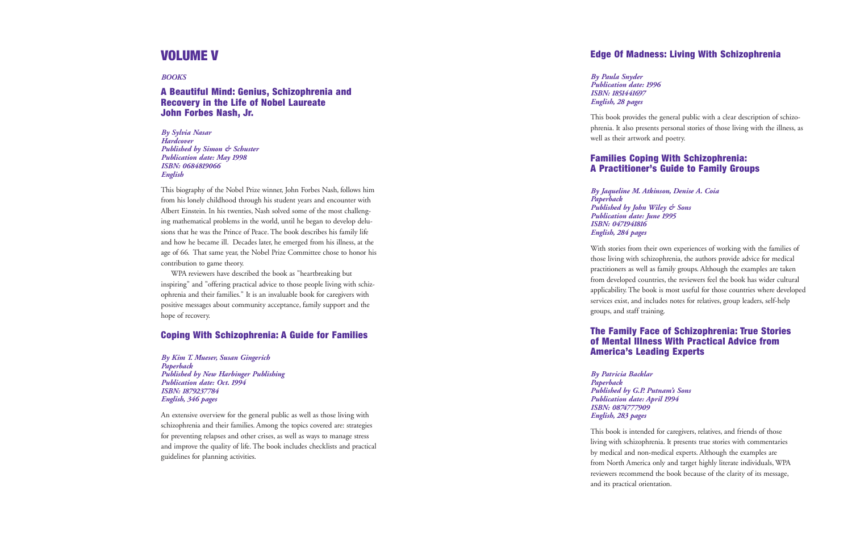### **Edge Of Madness: Living With Schizophrenia**

```
Publication date: 1996
```
*By Paula Snyder ISBN: 1851441697 English, 28 pages*

This book provides the general public with a clear description of schizo<sup>p</sup>hrenia. It also presents personal stories of those living with the illness, as well as their artwork and poetry.

### **Families Coping With Schizophrenia: A Practitioner's Guide to Family Groups**

```
By Jaqueline M. Atkinson, Denise A. Coia
```

```
Published by John Wiley & Sons
Publication date: June 1995
```
*Paperback ISBN: 0471941816 English, 284 pages*

With stories from their own experiences of working with the families of those living with schizophrenia, the authors provide advice for medical practitioners as well as family groups. Although the examples are taken from developed countries, the reviewers feel the book has wider cultural applicability. The book is most useful for those countries where developed services exist, and includes notes for relatives, group leaders, self-help groups, and staff training.

### **The Family Face of Schizophrenia: True Stories of Mental Illness With Practical Advice fromAmerica's Leading Experts**

```
Published by G.P. Putnam's Sons
Publication date: April 1994
```
*By Patricia Backlar Paperback ISBN: 0874777909 English, 283 pages*

This book is intended for caregivers, relatives, and friends of those living with schizophrenia. It presents true stories with commentaries by medical and non-medical experts. Although the examples are from North America only and target highly literate individuals, WPA reviewers recommend the book because of the clarity of its message, and its practical orientation.

### **VOLUME V**

*BOOKS*

### **A Beautiful Mind: Genius, Schizophrenia and Recovery in the Life of Nobel Laureate John Forbes Nash, Jr.**

*By Sylvia Nasar HardcoverPublished by Simon & Schuster Publication date: May 1998 ISBN: 0684819066 English*

This biography of the Nobel Prize winner, John Forbes Nash, follows him from his lonely childhood through his student years and encounter with Albert Einstein. In his twenties, Nash solved some of the most challenging mathematical problems in the world, until he began to develop delusions that he was the Prince of Peace. The book describes his family life and how he became ill. Decades later, he emerged from his illness, at the age of 66. That same year, the Nobel Prize Committee chose to honor his contribution to game theory.

WPA reviewers have described the book as "heartbreaking but inspiring" and "offering practical advice to those people living with schizophrenia and their families." It is an invaluable book for caregivers with positive messages about community acceptance, family support and the hope of recovery.

### **Coping With Schizophrenia: A Guide for Families**

*By Kim T. Mueser, Susan Gingerich Paperback Published by New Harbinger Publishing Publication date: Oct. 1994 ISBN: 1879237784 English, 346 pages*

An extensive overview for the general public as well as those living with schizophrenia and their families. Among the topics covered are: strategies for preventing relapses and other crises, as well as ways to manage stress and improve the quality of life. The book includes checklists and practical guidelines for planning activities.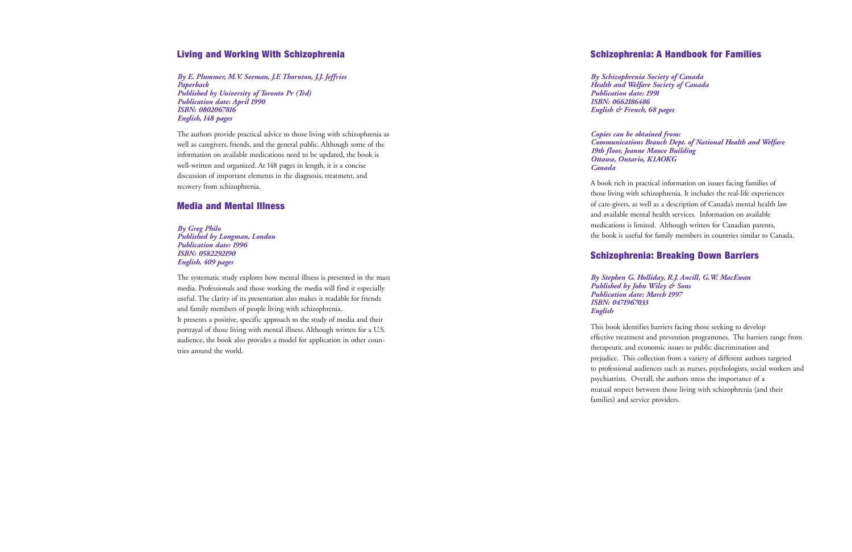### **Schizophrenia: A Handbook for Families**

*By Schizophrenia Society of Canada Health and Welfare Society of Canada Publication date: 1991 ISBN: 0662186486English & French, 68 pages*

*Copies can be obtained from: Communications Branch Dept. of National Health and Welfare 19th floor, Jeanne Mance Building Ottawa, Ontario, K1AOKG*

*Canada*

<sup>A</sup> book rich in practical information on issues facing families of those living with schizophrenia. It includes the real-life experiences of care-givers, as well as a description of Canada's mental health law and available mental health services. Information on available medications is limited. Although written for Canadian parents, the book is useful for family members in countries similar to Canada.

### **Schizophrenia: Breaking Down Barriers**

*By Stephen G. Holliday, R.J. Ancill, G.W. MacEwan Published by John Wiley & Sons Publication date: March 1997*

*ISBN: 0471967033 English*

This book identifies barriers facing those seeking to develop effective treatment and prevention programmes. The barriers range from therapeutic and economic issues to public discrimination and prejudice. This collection from a variety of different authors targeted to professional audiences such as nurses, psychologists, social workers and psychiatrists. Overall, the authors stress the importance of a mutual respect between those living with schizophrenia (and their families) and service providers.

### **Living and Working With Schizophrenia**

*By E. Plummer, M.V. Seeman, J.F. Thornton, J.J. Jeffries Paperback Published by University of Toronto Pr (Trd) Publication date: April 1990 ISBN: 0802067816 English, 148 pages*

The authors provide practical advice to those living with schizophrenia as well as caregivers, friends, and the general public. Although some of the information on available medications need to be updated, the book is well-written and organized. At 148 pages in length, it is a concise discussion of important elements in the diagnosis, treatment, and recovery from schizophrenia.

#### **Media and Mental Illness**

*By Greg Philo Published by Longman, London Publication date: 1996 ISBN: 0582292190 English, 409 pages*

The systematic study explores how mental illness is presented in the mass media. Professionals and those working the media will find it especially useful. The clarity of its presentation also makes it readable for friends and family members of people living with schizophrenia. It presents a positive, specific approach to the study of media and their portrayal of those living with mental illness. Although written for a U.S. audience, the book also provides a model for application in other countries around the world.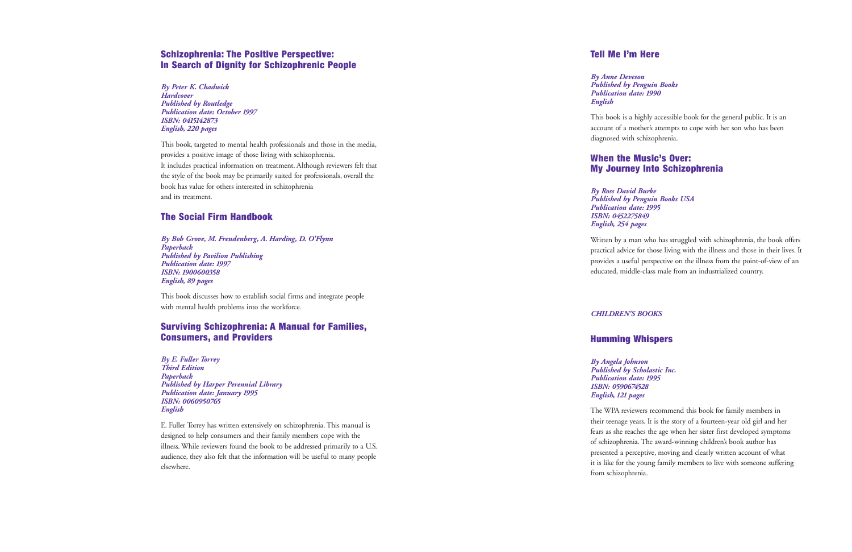### **Tell Me I'm Here**

*By Anne Deveson English*

*Published by Penguin Books Publication date: 1990*

This book is a highly accessible book for the general public. It is an account of a mother's attempts to cope with her son who has been diagnosed with schizophrenia.

### **When the Music's Over:My Journey Into Schizophrenia**

*By Ross David Burke Published by Penguin Books USA Publication date: 1995 ISBN: 0452275849 English, 254 pages*

Written by a man who has struggled with schizophrenia, the book offers practical advice for those living with the illness and those in their lives. It provides a useful perspective on the illness from the point-of-view of an educated, middle-class male from an industrialized country.

#### *CHILDREN'S BOOKS*

### **Humming Whispers**

*Published by Scholastic Inc.*

*By Angela Johnson Publication date: 1995 ISBN: 0590674528 English, <sup>121</sup> pages*

The WPA reviewers recommend this book for family members in their teenage years. It is the story of a fourteen-year old girl and her fears as she reaches the age when her sister first developed symptoms of schizophrenia. The award-winning children's book author has presented a perceptive, moving and clearly written account of what it is like for the young family members to live with someone suffering from schizophrenia.

### **Schizophrenia: The Positive Perspective: In Search of Dignity for Schizophrenic People**

*By Peter K. Chadwick Hardcover Published by Routledge Publication date: October 1997 ISBN: 0415142873 English, 220 pages*

This book, targeted to mental health professionals and those in the media, provides a positive image of those living with schizophrenia. It includes practical information on treatment. Although reviewers felt that the style of the book may be primarily suited for professionals, overall the book has value for others interested in schizophrenia and its treatment.

### **The Social Firm Handbook**

*By Bob Grove, M. Freudenberg, A. Harding, D. O'Flynn Paperback Published by Pavilion Publishing Publication date: 1997 ISBN: 1900600358 English, 89 pages*

This book discusses how to establish social firms and integrate people with mental health problems into the workforce.

### **Surviving Schizophrenia: A Manual for Families, Consumers, and Providers**

*By E. Fuller Torrey Third Edition Paperback Published by Harper Perennial Library Publication date: January 1995 ISBN: 0060950765 English*

E. Fuller Torrey has written extensively on schizophrenia. This manual is designed to help consumers and their family members cope with the illness. While reviewers found the book to be addressed primarily to a U.S. audience, they also felt that the information will be useful to many people elsewhere.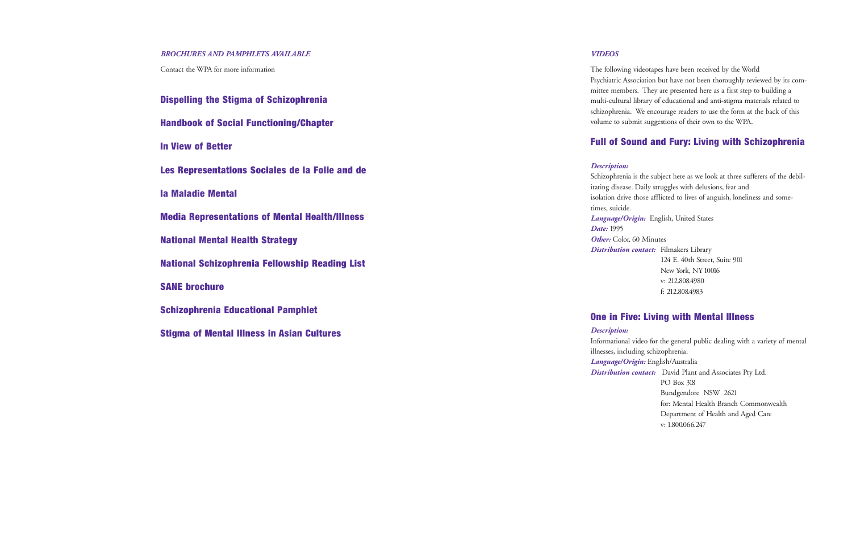#### *VIDEOS*

The following videotapes have been received by the World Psychiatric Association but have not been thoroughly reviewed by its committee members. They are presented here as a first step to building a multi-cultural library of educational and anti-stigma materials related to schizophrenia. We encourage readers to use the form at the back of this volume to submit suggestions of their own to the WPA.

### **Full of Sound and Fury: Living with Schizophrenia**

#### *Description:*

Schizophrenia is the subject here as we look at three sufferers of the debilitating disease. Daily struggles with delusions, fear and isolation drive those afflicted to lives of anguish, loneliness and some-

times, suicide. *Date:* 1995

*Language/Origin:* English, United States

*Other:* Color, 60 Minutes

*Distribution contact:* Filmakers Library 124 E. 40th Street, Suite 901 New York, NY 10016 v: 212.808.4980 f: 212.808.4983

### **One in Five: Living with Mental Illness**

*Description:*

Informational video for the general public dealing with a variety of mental illnesses, including schizophrenia.

*Language/Origin:* English/Australia

*Distribution contact:* David Plant and Associates Pty Ltd. PO Box 318 Bundgendore NSW 2621 for: Mental Health Branch Commonwealth Department of Health and Aged Care v: 1.800.066.247

#### *BROCHURES AND PAMPHLETS AVAILABLE*

Contact the WPA for more information

| <b>Dispelling the Stigma of Schizophrenia</b>         |
|-------------------------------------------------------|
| <b>Handbook of Social Functioning/Chapter</b>         |
| <b>In View of Better</b>                              |
| Les Representations Sociales de la Folie and de       |
| la Maladie Mental                                     |
| <b>Media Representations of Mental Health/Illness</b> |
| <b>National Mental Health Strategy</b>                |
| <b>National Schizophrenia Fellowship Reading List</b> |
| <b>SANE brochure</b>                                  |
| <b>Schizophrenia Educational Pamphlet</b>             |
| <b>Stigma of Mental Illness in Asian Cultures</b>     |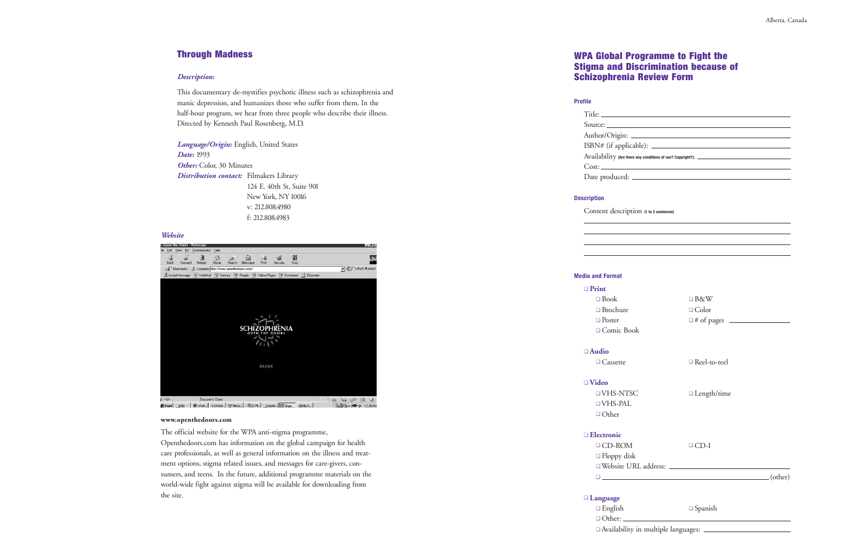$\rm{blicable):}$   $\_$ 

there any conditions of use? Copyright?): \_\_\_\_\_\_

### **WPA Global Programme to Fight the Stigma and Discrimination because of Schizophrenia Review Form**

#### **Profile**

| $\mathrm{Title:}\_\_$   |
|-------------------------|
| Source:                 |
| Author/Origin: _        |
| ISBN# (if applica       |
| Availability (Are there |
|                         |
| Date produced: _        |
|                         |

#### **Description**

Content description **(1 to 2 sentences)**

□ English ❏ Other:

### **Media and Format**

#### ❏ **Print**

- 
- ❏ Brochure
- ❏ Poster
- ❏ Comic Book

❏ **Audio** ❏ Cassette

## ❏ **Video**

| $\Box$ Book                        | $\Box$ B&W         |  |
|------------------------------------|--------------------|--|
| □ Brochure                         | $\Box$ Color       |  |
| □ Poster                           |                    |  |
| □ Comic Book                       |                    |  |
| udio                               |                    |  |
| □ Cassette                         | Reel-to-reel       |  |
| ideo                               |                    |  |
| □ VHS-NTSC                         | $\Box$ Length/time |  |
| $\neg$ VHS-PAL                     |                    |  |
| □ Other                            |                    |  |
| ectronic                           |                    |  |
| $\Box$ CD-ROM                      | $\Box$ CD-I        |  |
| $\Box$ Floppy disk                 |                    |  |
|                                    |                    |  |
| $\Box$ (other)                     |                    |  |
|                                    |                    |  |
| anguage                            |                    |  |
| $\sim$ $\sim$ $\sim$ $\sim$ $\sim$ |                    |  |

# ❏ Other

❏ **Electronic**

- ❏ CD-ROM❏ Floppy disk
- 
- 

#### ❏ **Language**

English ❏ Spanish

❏ Availability in multiple languages:

### **Through Madness**

#### *Description:*

This documentary de-mystifies psychotic illness such as schizophrenia and manic depression, and humanizes those who suffer from them. In the half-hour program, we hear from three people who describe their illness. Directed by Kenneth Paul Rosenberg, M.D.

*Language/Origin:* English, United States *Date:* 1993 *Other:* Color, 30 Minutes *Distribution contact:* Filmakers Library 124 E. 40th St, Suite 901 New York, NY 10016 v: 212.808.4980

f: 212.808.4983

#### **www.openthedoors.com**

The official website for the WPA anti-stigma programme, Openthedoors.com has information on the global campaign for health care professionals, as well as general information on the illness and treatment options, stigma related issues, and messages for care-givers, consumers, and teens. In the future, additional programme materials on the world-wide fight against stigma will be available for downloading from the site.

#### *Website*